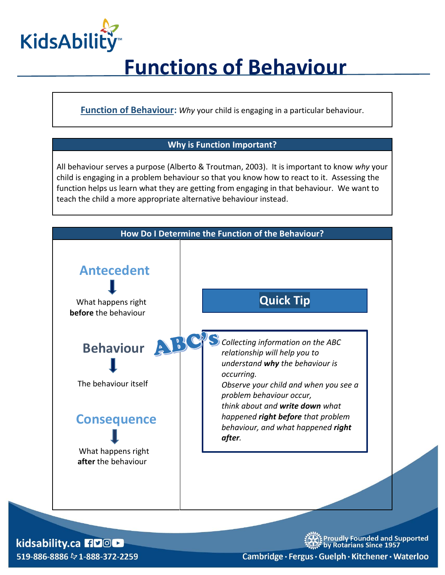

## **Functions of Behaviour**

**Function of Behaviour:** *Why* your child is engaging in a particular behaviour.

#### **Why is Function Important?**

All behaviour serves a purpose (Alberto & Troutman, 2003). It is important to know *why* your child is engaging in a problem behaviour so that you know how to react to it. Assessing the function helps us learn what they are getting from engaging in that behaviour. We want to teach the child a more appropriate alternative behaviour instead.



kidsability.ca HDOL 519-886-8886 & 1-888-372-2259 Proudly Founded and Supported<br>by Rotarians Since 1957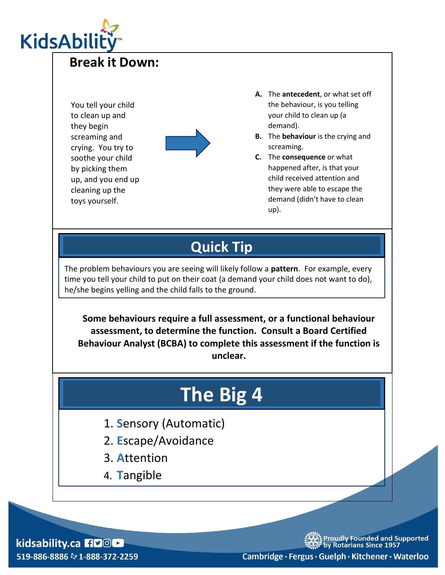

### **Break it Down:**

You tell your child to clean up and they begin screaming and crying. You try to soothe your child by picking them up, and you end up cleaning up the toys yourself.



- **A.** The **antecedent**, or what set off the behaviour, is you telling your child to clean up (a demand).
- **B.** The **behaviour** is the crying and screaming.
- **C.** The **consequence** or what happened after, is that your child received attention and they were able to escape the demand (didn't have to clean up).

### **Quick Tip**

The problem behaviours you are seeing will likely follow a **pattern**. For example, every time you tell your child to put on their coat (a demand your child does not want to do), he/she begins yelling and the child falls to the ground.

**Some behaviours require a full assessment, or a functional behaviour assessment, to determine the function. Consult a Board Certified Behaviour Analyst (BCBA) to complete this assessment if the function is unclear.**

# **The Big 4**

- 1. **S**ensory (Automatic)
- 2. **E**scape/Avoidance
- 3. **A**ttention
- 4. **T**angible

kidsability.ca HDOL 519-886-8886 & 1-888-372-2259 Proudly Founded and Supported<br>by Rotarians Since 1957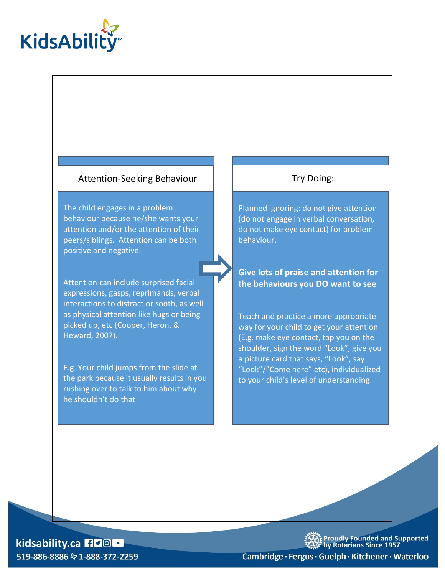

#### Attention-Seeking Behaviour | | | | | Try Doing:

The child engages in a problem behaviour because he/she wants your attention and/or the attention of their peers/siblings. Attention can be both positive and negative.

Attention can include surprised facial expressions, gasps, reprimands, verbal interactions to distract or sooth, as well as physical attention like hugs or being picked up, etc (Cooper, Heron, & Heward, 2007).

E.g. Your child jumps from the slide at the park because it usually results in you rushing over to talk to him about why he shouldn't do that

Planned ignoring: do not give attention (do not engage in verbal conversation, do not make eye contact) for problem behaviour.

**Give lots of praise and attention for the behaviours you DO want to see**

Teach and practice a more appropriate way for your child to get your attention (E.g. make eye contact, tap you on the shoulder, sign the word "Look", give you a picture card that says, "Look", say "Look"/"Come here" etc), individualized to your child's level of understanding

kidsability.ca HDOL 519-886-8886 & 1-888-372-2259 Xt Proudly Founded and Supported<br>Xt by Rotarians Since 1957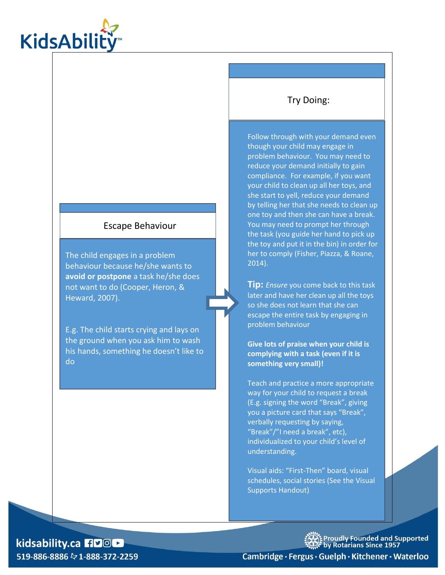

#### Escape Behaviour

The child engages in a problem behaviour because he/she wants to **avoid or postpone** a task he/she does not want to do (Cooper, Heron, & Heward, 2007).

E.g. The child starts crying and lays on the ground when you ask him to wash his hands, something he doesn't like to do

#### Try Doing:

Follow through with your demand even though your child may engage in problem behaviour. You may need to reduce your demand initially to gain compliance. For example, if you want your child to clean up all her toys, and she start to yell, reduce your demand by telling her that she needs to clean up one toy and then she can have a break. You may need to prompt her through the task (you guide her hand to pick up the toy and put it in the bin) in order for her to comply (Fisher, Piazza, & Roane, 2014).

**Tip:** *Ensure* you come back to this task later and have her clean up all the toys so she does not learn that she can escape the entire task by engaging in problem behaviour

**Give lots of praise when your child is complying with a task (even if it is something very small)!**

Teach and practice a more appropriate way for your child to request a break (E.g. signing the word "Break", giving you a picture card that says "Break", verbally requesting by saying, "Break"/"I need a break", etc), individualized to your child's level of understanding.

Visual aids: "First-Then" board, visual schedules, social stories (See the Visual Supports Handout)

kidsability.ca HDOL 519-886-8886 & 1-888-372-2259 Xt Proudly Founded and Supported<br>※ by Rotarians Since 1957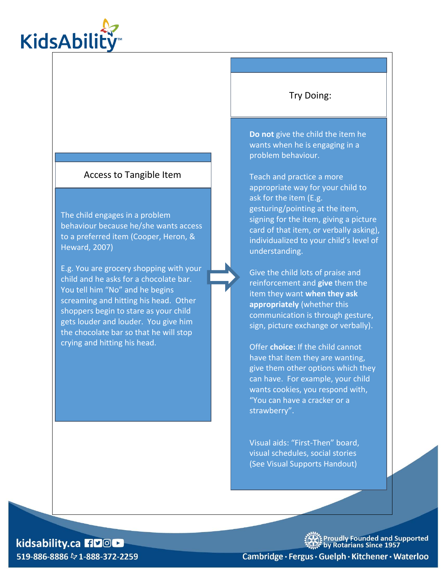

#### Access to Tangible Item

The child engages in a problem behaviour because he/she wants access to a preferred item (Cooper, Heron, & Heward, 2007)

E.g. You are grocery shopping with your child and he asks for a chocolate bar. You tell him "No" and he begins screaming and hitting his head. Other shoppers begin to stare as your child gets louder and louder. You give him the chocolate bar so that he will stop crying and hitting his head.

#### Try Doing:

**Do not** give the child the item he wants when he is engaging in a problem behaviour.

Teach and practice a more appropriate way for your child to ask for the item (E.g. gesturing/pointing at the item, signing for the item, giving a picture card of that item, or verbally asking), individualized to your child's level of understanding.

Give the child lots of praise and reinforcement and **give** them the item they want **when they ask appropriately** (whether this communication is through gesture, sign, picture exchange or verbally).

Offer **choice:** If the child cannot have that item they are wanting, give them other options which they can have. For example, your child wants cookies, you respond with, "You can have a cracker or a strawberry".

Visual aids: "First-Then" board, visual schedules, social stories (See Visual Supports Handout)

#### kidsability.ca HDOL 519-886-8886  $\&$  1-888-372-2259

。<br>作 Proudly Founded and Supported<br>« by Rotarians Since 1957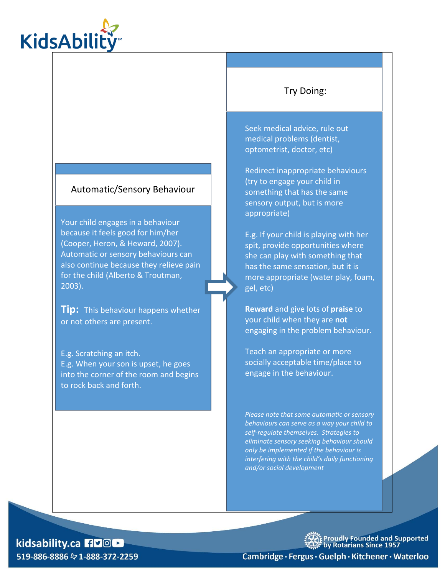

#### Automatic/Sensory Behaviour

Your child engages in a behaviour because it feels good for him/her (Cooper, Heron, & Heward, 2007). Automatic or sensory behaviours can also continue because they relieve pain for the child (Alberto & Troutman, 2003).

**Tip:** This behaviour happens whether or not others are present.

E.g. Scratching an itch. E.g. When your son is upset, he goes into the corner of the room and begins to rock back and forth.

#### Try Doing:

Seek medical advice, rule out medical problems (dentist, optometrist, doctor, etc)

Redirect inappropriate behaviours (try to engage your child in something that has the same sensory output, but is more appropriate)

E.g. If your child is playing with her spit, provide opportunities where she can play with something that has the same sensation, but it is more appropriate (water play, foam, gel, etc)

**Reward** and give lots of **praise** to your child when they are **not**  engaging in the problem behaviour.

Teach an appropriate or more socially acceptable time/place to engage in the behaviour.

*Please note that some automatic or sensory behaviours can serve as a way your child to self-regulate themselves. Strategies to eliminate sensory seeking behaviour should only be implemented if the behaviour is interfering with the child's daily functioning and/or social development* 

#### kidsability.ca HDOL 519-886-8886 & 1-888-372-2259

**Proudly Founded and Supported<br>by Rotarians Since 1957**